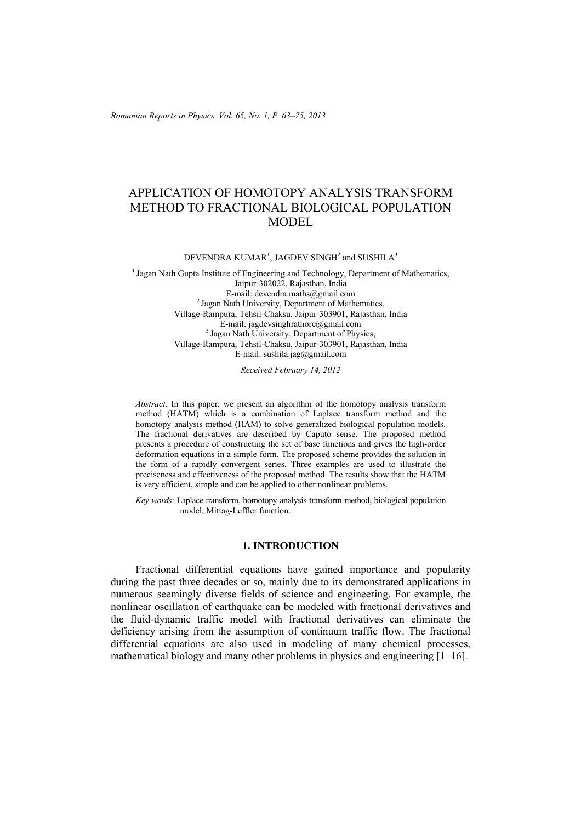*Romanian Reports in Physics, Vol. 65, No. 1, P. 63–75, 2013*

# APPLICATION OF HOMOTOPY ANALYSIS TRANSFORM METHOD TO FRACTIONAL BIOLOGICAL POPULATION MODEL

DEVENDRA KUMAR<sup>1</sup>, JAGDEV SINGH<sup>2</sup> and SUSHILA<sup>3</sup>

<sup>1</sup> Jagan Nath Gupta Institute of Engineering and Technology, Department of Mathematics, Jaipur-302022, Rajasthan, India<br>E-mail: devendra.maths@gmail.com  $<sup>2</sup>$  Jagan Nath University, Department of Mathematics,</sup> Village-Rampura, Tehsil-Chaksu, Jaipur-303901, Rajasthan, India E-mail: jagdevsinghrathore@gmail.com 3 Jagan Nath University, Department of Physics, Village-Rampura, Tehsil-Chaksu, Jaipur-303901, Rajasthan, India E-mail: sushila.jag@gmail.com

*Received February 14, 2012* 

*Abstract*. In this paper, we present an algorithm of the homotopy analysis transform method (HATM) which is a combination of Laplace transform method and the homotopy analysis method (HAM) to solve generalized biological population models. The fractional derivatives are described by Caputo sense. The proposed method presents a procedure of constructing the set of base functions and gives the high-order deformation equations in a simple form. The proposed scheme provides the solution in the form of a rapidly convergent series. Three examples are used to illustrate the preciseness and effectiveness of the proposed method. The results show that the HATM is very efficient, simple and can be applied to other nonlinear problems.

*Key words*: Laplace transform, homotopy analysis transform method, biological population model, Mittag-Leffler function.

### **1. INTRODUCTION**

Fractional differential equations have gained importance and popularity during the past three decades or so, mainly due to its demonstrated applications in numerous seemingly diverse fields of science and engineering. For example, the nonlinear oscillation of earthquake can be modeled with fractional derivatives and the fluid-dynamic traffic model with fractional derivatives can eliminate the deficiency arising from the assumption of continuum traffic flow. The fractional differential equations are also used in modeling of many chemical processes, mathematical biology and many other problems in physics and engineering [1–16].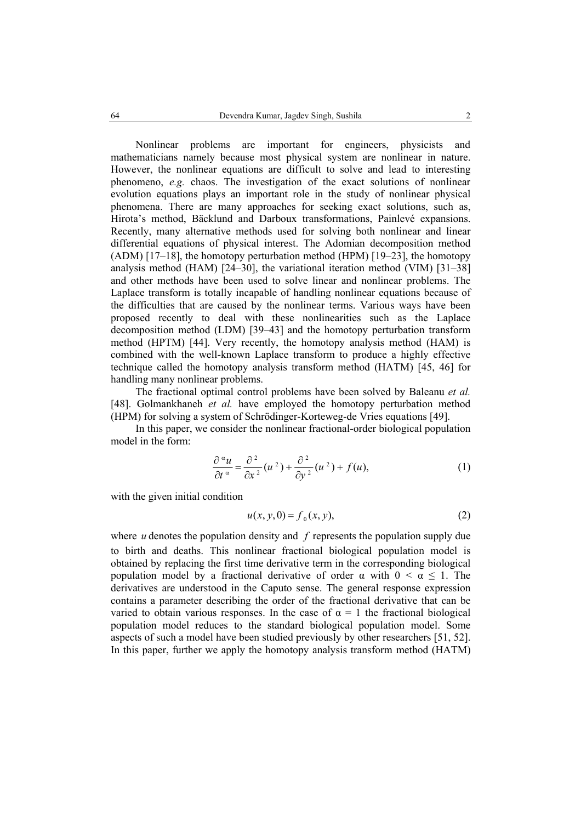Nonlinear problems are important for engineers, physicists and mathematicians namely because most physical system are nonlinear in nature. However, the nonlinear equations are difficult to solve and lead to interesting phenomeno, *e.g.* chaos. The investigation of the exact solutions of nonlinear evolution equations plays an important role in the study of nonlinear physical phenomena. There are many approaches for seeking exact solutions, such as, Hirota's method, Bäcklund and Darboux transformations, Painlevé expansions. Recently, many alternative methods used for solving both nonlinear and linear differential equations of physical interest. The Adomian decomposition method  $(ADM)$  [17–18], the homotopy perturbation method  $(HPM)$  [19–23], the homotopy analysis method (HAM) [24–30], the variational iteration method (VIM) [31–38] and other methods have been used to solve linear and nonlinear problems. The Laplace transform is totally incapable of handling nonlinear equations because of the difficulties that are caused by the nonlinear terms. Various ways have been proposed recently to deal with these nonlinearities such as the Laplace decomposition method (LDM) [39–43] and the homotopy perturbation transform method (HPTM) [44]. Very recently, the homotopy analysis method (HAM) is combined with the well-known Laplace transform to produce a highly effective technique called the homotopy analysis transform method (HATM) [45, 46] for handling many nonlinear problems.

The fractional optimal control problems have been solved by Baleanu *et al.* [48]. Golmankhaneh *et al.* have employed the homotopy perturbation method (HPM) for solving a system of Schrödinger-Korteweg-de Vries equations [49].

In this paper, we consider the nonlinear fractional-order biological population model in the form:

$$
\frac{\partial^{\alpha} u}{\partial t^{\alpha}} = \frac{\partial^2}{\partial x^2} (u^2) + \frac{\partial^2}{\partial y^2} (u^2) + f(u), \tag{1}
$$

with the given initial condition

$$
u(x, y, 0) = f_0(x, y),
$$
 (2)

where *u* denotes the population density and *f* represents the population supply due to birth and deaths. This nonlinear fractional biological population model is obtained by replacing the first time derivative term in the corresponding biological population model by a fractional derivative of order  $\alpha$  with  $0 \le \alpha \le 1$ . The derivatives are understood in the Caputo sense. The general response expression contains a parameter describing the order of the fractional derivative that can be varied to obtain various responses. In the case of  $\alpha = 1$  the fractional biological population model reduces to the standard biological population model. Some aspects of such a model have been studied previously by other researchers [51, 52]. In this paper, further we apply the homotopy analysis transform method (HATM)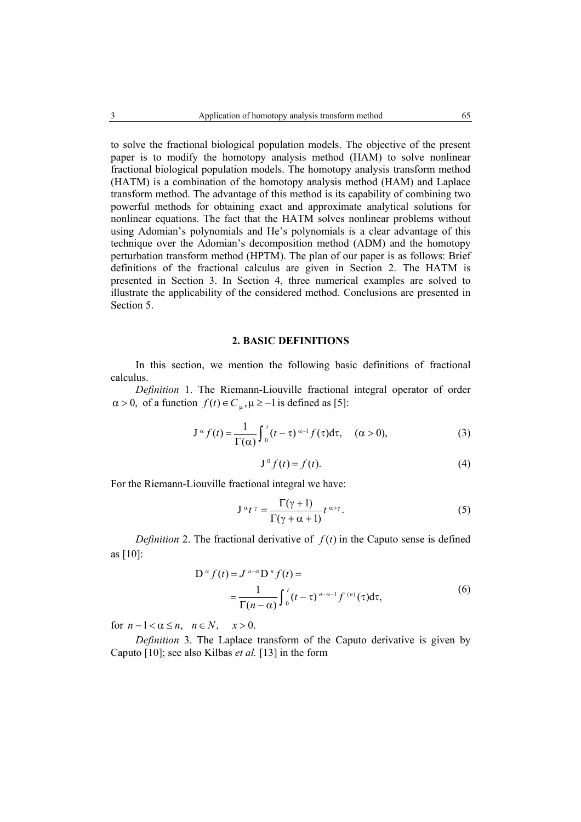to solve the fractional biological population models. The objective of the present paper is to modify the homotopy analysis method (HAM) to solve nonlinear fractional biological population models. The homotopy analysis transform method (HATM) is a combination of the homotopy analysis method (HAM) and Laplace transform method. The advantage of this method is its capability of combining two powerful methods for obtaining exact and approximate analytical solutions for nonlinear equations. The fact that the HATM solves nonlinear problems without using Adomian's polynomials and He's polynomials is a clear advantage of this technique over the Adomian's decomposition method (ADM) and the homotopy perturbation transform method (HPTM). The plan of our paper is as follows: Brief definitions of the fractional calculus are given in Section 2. The HATM is presented in Section 3. In Section 4, three numerical examples are solved to illustrate the applicability of the considered method. Conclusions are presented in Section 5.

#### **2. BASIC DEFINITIONS**

In this section, we mention the following basic definitions of fractional calculus.

*Definition* 1. The Riemann-Liouville fractional integral operator of order  $\alpha > 0$ , of a function  $f(t) \in C_{\alpha}$ ,  $\mu \ge -1$  is defined as [5]:

$$
J^{\alpha} f(t) = \frac{1}{\Gamma(\alpha)} \int_0^t (t - \tau)^{\alpha - 1} f(\tau) d\tau, \quad (\alpha > 0),
$$
 (3)

$$
\mathbf{J}^0 f(t) = f(t). \tag{4}
$$

For the Riemann-Liouville fractional integral we have:

$$
J^{\alpha}t^{\gamma} = \frac{\Gamma(\gamma + 1)}{\Gamma(\gamma + \alpha + 1)} t^{\alpha + \gamma}.
$$
 (5)

*Definition* 2. The fractional derivative of  $f(t)$  in the Caputo sense is defined as [10]:

$$
D^{\alpha} f(t) = J^{n-\alpha} D^{n} f(t) =
$$
  
= 
$$
\frac{1}{\Gamma(n-\alpha)} \int_{0}^{t} (t-\tau)^{n-\alpha-1} f^{(n)}(\tau) d\tau,
$$
 (6)

for  $n-1 < \alpha \le n$ ,  $n \in N$ ,  $x > 0$ .

*Definition* 3. The Laplace transform of the Caputo derivative is given by Caputo [10]; see also Kilbas *et al.* [13] in the form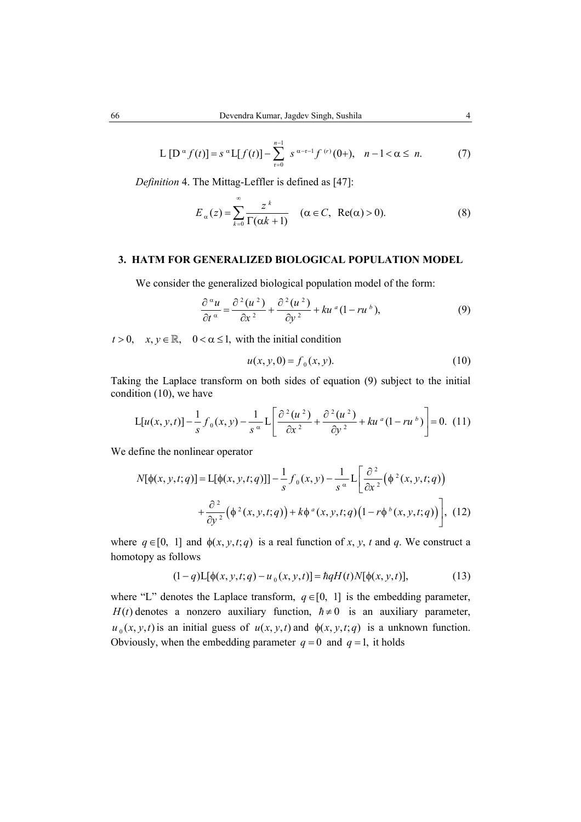$$
L[D^{\alpha} f(t)] = s^{\alpha} L[f(t)] - \sum_{r=0}^{n-1} s^{\alpha-r-1} f^{(r)}(0+), \quad n-1 < \alpha \le n. \tag{7}
$$

*Definition* 4. The Mittag-Leffler is defined as [47]:

$$
E_{\alpha}(z) = \sum_{k=0}^{\infty} \frac{z^k}{\Gamma(\alpha k + 1)} \quad (\alpha \in C, \ \text{Re}(\alpha) > 0). \tag{8}
$$

## **3. HATM FOR GENERALIZED BIOLOGICAL POPULATION MODEL**

We consider the generalized biological population model of the form:

$$
\frac{\partial^{\alpha} u}{\partial t^{\alpha}} = \frac{\partial^2 (u^2)}{\partial x^2} + \frac{\partial^2 (u^2)}{\partial y^2} + ku^a (1 - ru^b),
$$
\n(9)

 $t > 0$ ,  $x, y \in \mathbb{R}$ ,  $0 < \alpha \le 1$ , with the initial condition

$$
u(x, y, 0) = f_0(x, y).
$$
 (10)

Taking the Laplace transform on both sides of equation (9) subject to the initial condition (10), we have

$$
L[u(x, y, t)] - \frac{1}{s} f_0(x, y) - \frac{1}{s^{\alpha}} L\left[\frac{\partial^2 (u^2)}{\partial x^2} + \frac{\partial^2 (u^2)}{\partial y^2} + ku^{\alpha} (1 - ru^{\beta})\right] = 0.
$$
 (11)

We define the nonlinear operator

$$
N[\phi(x, y, t; q)] = \mathcal{L}[\phi(x, y, t; q)] - \frac{1}{s} f_0(x, y) - \frac{1}{s^{\alpha}} \mathcal{L}\left[\frac{\partial^2}{\partial x^2}(\phi^2(x, y, t; q)) + \frac{\partial^2}{\partial y^2}(\phi^2(x, y, t; q)) + k\phi^a(x, y, t; q)\left(1 - r\phi^b(x, y, t; q)\right)\right],
$$
(12)

where  $q \in [0, 1]$  and  $\phi(x, y, t; q)$  is a real function of x, y, t and q. We construct a homotopy as follows

$$
(1-q)L[\phi(x, y, t; q) - u_0(x, y, t)] = hqH(t)N[\phi(x, y, t)],
$$
\n(13)

where "L" denotes the Laplace transform,  $q \in [0, 1]$  is the embedding parameter, *H(t)* denotes a nonzero auxiliary function,  $\hbar \neq 0$  is an auxiliary parameter,  $u_0(x, y, t)$  is an initial guess of  $u(x, y, t)$  and  $\phi(x, y, t; q)$  is a unknown function. Obviously, when the embedding parameter  $q = 0$  and  $q = 1$ , it holds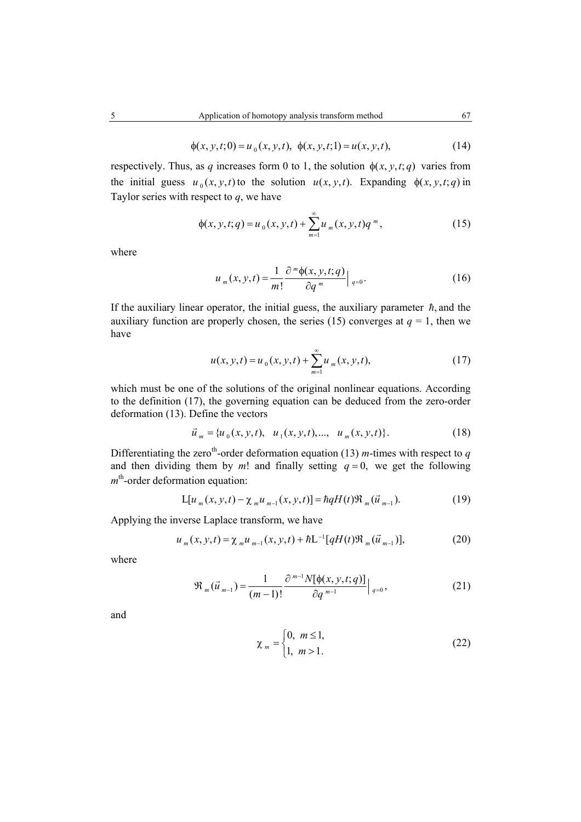$$
\phi(x, y, t; 0) = u_0(x, y, t), \ \phi(x, y, t; 1) = u(x, y, t), \tag{14}
$$

respectively. Thus, as *q* increases form 0 to 1, the solution  $\phi(x, y, t; q)$  varies from the initial guess  $u_0(x, y, t)$  to the solution  $u(x, y, t)$ . Expanding  $\phi(x, y, t; q)$  in Taylor series with respect to *q*, we have

$$
\phi(x, y, t; q) = u_0(x, y, t) + \sum_{m=1}^{\infty} u_m(x, y, t) q^m,
$$
\n(15)

where

$$
u_m(x, y, t) = \frac{1}{m!} \frac{\partial^m \phi(x, y, t; q)}{\partial q^m} \Big|_{q=0}.
$$
 (16)

If the auxiliary linear operator, the initial guess, the auxiliary parameter  $\hbar$ , and the auxiliary function are properly chosen, the series (15) converges at  $q = 1$ , then we have

$$
u(x, y, t) = u_0(x, y, t) + \sum_{m=1}^{\infty} u_m(x, y, t),
$$
 (17)

which must be one of the solutions of the original nonlinear equations. According to the definition (17), the governing equation can be deduced from the zero-order deformation (13). Define the vectors

$$
\vec{u}_m = \{u_0(x, y, t), u_1(x, y, t), \dots, u_m(x, y, t)\}.
$$
 (18)

Differentiating the zero<sup>th</sup>-order deformation equation (13) *m*-times with respect to *q* and then dividing them by  $m!$  and finally setting  $q = 0$ , we get the following *m*<sup>th</sup>-order deformation equation:

$$
L[u_m(x, y, t) - \chi_m u_{m-1}(x, y, t)] = \hbar q H(t) \Re_m(\vec{u}_{m-1}).
$$
\n(19)

Applying the inverse Laplace transform, we have

$$
u_{m}(x, y, t) = \chi_{m} u_{m-1}(x, y, t) + \hbar L^{-1}[qH(t)\Re_{m}(\vec{u}_{m-1})],
$$
 (20)

where

$$
\Re_m(\vec{u}_{m-1}) = \frac{1}{(m-1)!} \frac{\partial^{m-1} N[\phi(x, y, t; q)]}{\partial q^{m-1}} \Big|_{q=0},
$$
 (21)

and

$$
\chi_m = \begin{cases} 0, & m \le 1, \\ 1, & m > 1. \end{cases}
$$
 (22)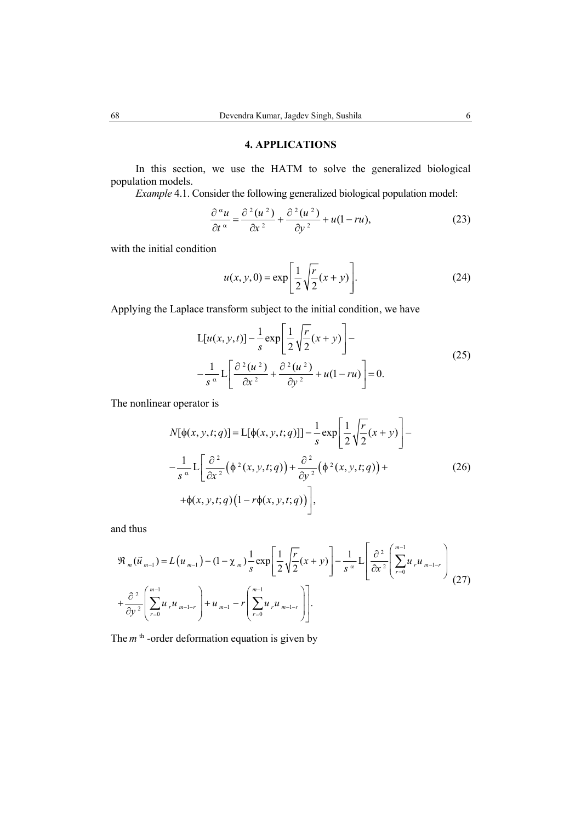# **4. APPLICATIONS**

In this section, we use the HATM to solve the generalized biological population models.

*Example* 4.1. Consider the following generalized biological population model:

$$
\frac{\partial^{\alpha} u}{\partial t^{\alpha}} = \frac{\partial^2 (u^2)}{\partial x^2} + \frac{\partial^2 (u^2)}{\partial y^2} + u(1 - ru),
$$
\n(23)

with the initial condition

$$
u(x, y, 0) = \exp\left[\frac{1}{2}\sqrt{\frac{r}{2}}(x+y)\right].
$$
 (24)

Applying the Laplace transform subject to the initial condition, we have

$$
L[u(x, y, t)] - \frac{1}{s} \exp\left[\frac{1}{2}\sqrt{\frac{r}{2}}(x+y)\right] -
$$
  

$$
-\frac{1}{s^{\alpha}}L\left[\frac{\partial^{2}(u^{2})}{\partial x^{2}} + \frac{\partial^{2}(u^{2})}{\partial y^{2}} + u(1-ru)\right] = 0.
$$
 (25)

The nonlinear operator is

$$
N[\phi(x, y, t; q)] = L[\phi(x, y, t; q)] - \frac{1}{s} \exp\left[\frac{1}{2}\sqrt{\frac{r}{2}}(x + y)\right] - \frac{1}{s^{\alpha}}L\left[\frac{\partial^{2}}{\partial x^{2}}(\phi^{2}(x, y, t; q)) + \frac{\partial^{2}}{\partial y^{2}}(\phi^{2}(x, y, t; q)) + \phi(x, y, t; q)\left(1 - r\phi(x, y, t; q)\right)\right],
$$
\n(26)

and thus

$$
\mathfrak{R}_{m}(\vec{u}_{m-1}) = L(u_{m-1}) - (1 - \chi_{m}) \frac{1}{s} \exp\left[\frac{1}{2} \sqrt{\frac{r}{2}} (x + y)\right] - \frac{1}{s^{\alpha}} L \left[\frac{\partial^{2}}{\partial x^{2}} \left(\sum_{r=0}^{m-1} u_{r} u_{m-1-r}\right) + \frac{\partial^{2}}{\partial y^{2}} \left(\sum_{r=0}^{m-1} u_{r} u_{m-1-r}\right) + u_{m-1} - r \left(\sum_{r=0}^{m-1} u_{r} u_{m-1-r}\right)\right].
$$
\n(27)

The *m*<sup>th</sup> -order deformation equation is given by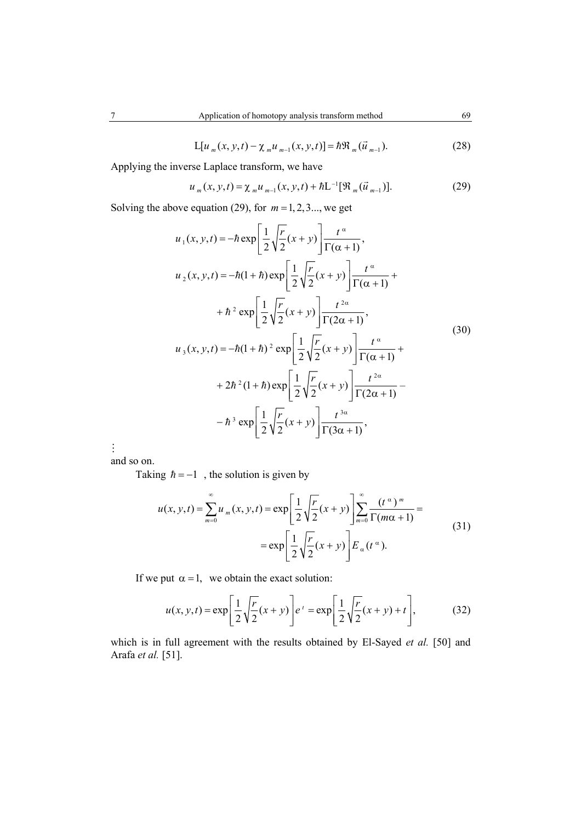$$
L[u_m(x, y, t) - \chi_m u_{m-1}(x, y, t)] = \hbar \mathfrak{R}_m(\vec{u}_{m-1}).
$$
\n(28)

Applying the inverse Laplace transform, we have

$$
u_m(x, y, t) = \chi_m u_{m-1}(x, y, t) + \hbar L^{-1} [\Re_m(\vec{u}_{m-1})]. \tag{29}
$$

Solving the above equation (29), for  $m = 1, 2, 3...$ , we get

$$
u_1(x, y, t) = -\hbar \exp\left[\frac{1}{2}\sqrt{\frac{r}{2}}(x+y)\right] \frac{t^{\alpha}}{\Gamma(\alpha+1)},
$$
  
\n
$$
u_2(x, y, t) = -\hbar(1+\hbar) \exp\left[\frac{1}{2}\sqrt{\frac{r}{2}}(x+y)\right] \frac{t^{\alpha}}{\Gamma(\alpha+1)} +
$$
  
\n
$$
+\hbar^2 \exp\left[\frac{1}{2}\sqrt{\frac{r}{2}}(x+y)\right] \frac{t^{2\alpha}}{\Gamma(2\alpha+1)},
$$
  
\n
$$
u_3(x, y, t) = -\hbar(1+\hbar)^2 \exp\left[\frac{1}{2}\sqrt{\frac{r}{2}}(x+y)\right] \frac{t^{\alpha}}{\Gamma(\alpha+1)} +
$$
  
\n
$$
+2\hbar^2(1+\hbar) \exp\left[\frac{1}{2}\sqrt{\frac{r}{2}}(x+y)\right] \frac{t^{2\alpha}}{\Gamma(2\alpha+1)} -
$$
  
\n
$$
-\hbar^3 \exp\left[\frac{1}{2}\sqrt{\frac{r}{2}}(x+y)\right] \frac{t^{3\alpha}}{\Gamma(3\alpha+1)},
$$
  
\n(30)

 $\vdots$ 

and so on.

Taking  $\hbar = -1$ , the solution is given by

$$
u(x, y, t) = \sum_{m=0}^{\infty} u_m(x, y, t) = \exp\left[\frac{1}{2}\sqrt{\frac{r}{2}}(x+y)\right] \sum_{m=0}^{\infty} \frac{(t^{\alpha})^m}{\Gamma(m\alpha+1)} =
$$
  
= 
$$
\exp\left[\frac{1}{2}\sqrt{\frac{r}{2}}(x+y)\right] E_{\alpha}(t^{\alpha}).
$$
 (31)

If we put  $\alpha = 1$ , we obtain the exact solution:

$$
u(x, y, t) = \exp\left[\frac{1}{2}\sqrt{\frac{r}{2}}(x+y)\right]e^{t} = \exp\left[\frac{1}{2}\sqrt{\frac{r}{2}}(x+y)+t\right],
$$
(32)

which is in full agreement with the results obtained by El-Sayed *et al.* [50] and Arafa *et al.* [51].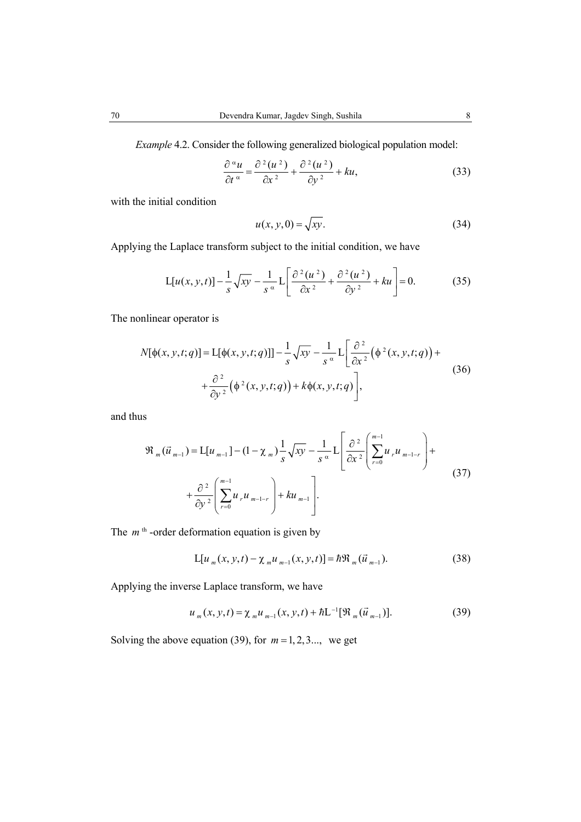*Example* 4.2. Consider the following generalized biological population model:

$$
\frac{\partial^{\alpha} u}{\partial t^{\alpha}} = \frac{\partial^2 (u^2)}{\partial x^2} + \frac{\partial^2 (u^2)}{\partial y^2} + ku,
$$
\n(33)

with the initial condition

$$
u(x, y, 0) = \sqrt{xy}.\tag{34}
$$

Applying the Laplace transform subject to the initial condition, we have

$$
L[u(x, y, t)] - \frac{1}{s}\sqrt{xy} - \frac{1}{s^{\alpha}}L\left[\frac{\partial^2(u^2)}{\partial x^2} + \frac{\partial^2(u^2)}{\partial y^2} + ku\right] = 0.
$$
 (35)

The nonlinear operator is

$$
N[\phi(x, y, t; q)] = L[\phi(x, y, t; q)] - \frac{1}{s} \sqrt{xy} - \frac{1}{s^{\alpha}} L\left[\frac{\partial^2}{\partial x^2} (\phi^2(x, y, t; q)) + \frac{\partial^2}{\partial y^2} (\phi^2(x, y, t; q)) + k\phi(x, y, t; q)\right],
$$
\n(36)

and thus

$$
\mathfrak{R}_{m}(\vec{u}_{m-1}) = L[u_{m-1}] - (1 - \chi_{m}) \frac{1}{s} \sqrt{xy} - \frac{1}{s} \alpha L \left[ \frac{\partial^{2}}{\partial x^{2}} \left( \sum_{r=0}^{m-1} u_{r} u_{m-1-r} \right) + \frac{\partial^{2}}{\partial y^{2}} \left( \sum_{r=0}^{m-1} u_{r} u_{m-1-r} \right) + ku_{m-1} \right].
$$
\n(37)

The  $m<sup>th</sup>$ -order deformation equation is given by

$$
L[u_m(x, y, t) - \chi_m u_{m-1}(x, y, t)] = \hbar \mathfrak{R}_m(\vec{u}_{m-1}).
$$
\n(38)

Applying the inverse Laplace transform, we have

$$
u_m(x, y, t) = \chi_m u_{m-1}(x, y, t) + \hbar L^{-1} [\mathfrak{R}_m(\vec{u}_{m-1})]. \tag{39}
$$

Solving the above equation (39), for  $m = 1, 2, 3...$ , we get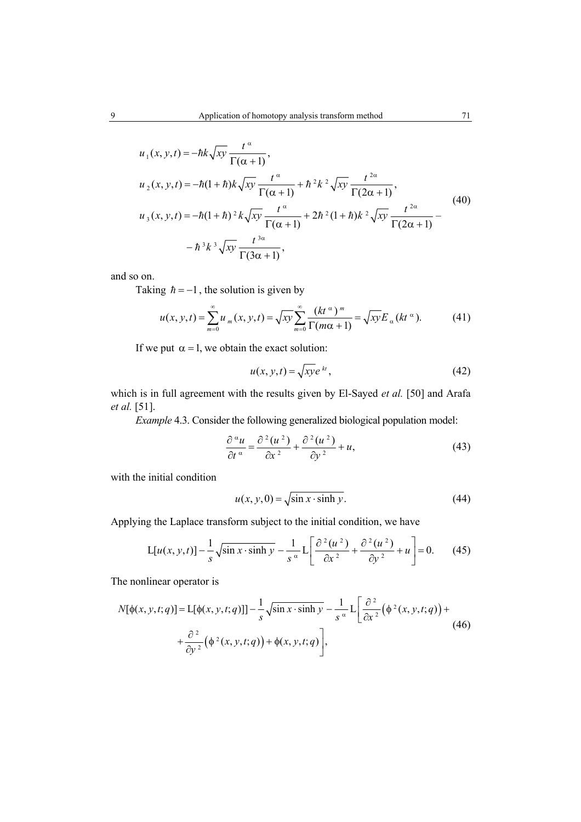$$
u_1(x, y, t) = -\hbar k \sqrt{xy} \frac{t^{\alpha}}{\Gamma(\alpha + 1)},
$$
  
\n
$$
u_2(x, y, t) = -\hbar (1 + \hbar) k \sqrt{xy} \frac{t^{\alpha}}{\Gamma(\alpha + 1)} + \hbar^2 k^2 \sqrt{xy} \frac{t^{2\alpha}}{\Gamma(2\alpha + 1)},
$$
  
\n
$$
u_3(x, y, t) = -\hbar (1 + \hbar)^2 k \sqrt{xy} \frac{t^{\alpha}}{\Gamma(\alpha + 1)} + 2\hbar^2 (1 + \hbar) k^2 \sqrt{xy} \frac{t^{2\alpha}}{\Gamma(2\alpha + 1)} -
$$
  
\n
$$
- \hbar^3 k^3 \sqrt{xy} \frac{t^{3\alpha}}{\Gamma(3\alpha + 1)},
$$
\n(40)

and so on.

Taking  $\hbar = -1$ , the solution is given by

$$
u(x, y, t) = \sum_{m=0}^{\infty} u_m(x, y, t) = \sqrt{xy} \sum_{m=0}^{\infty} \frac{(kt^{\alpha})^m}{\Gamma(m\alpha + 1)} = \sqrt{xy} E_{\alpha}(kt^{\alpha}).
$$
 (41)

If we put  $\alpha = 1$ , we obtain the exact solution:

$$
u(x, y, t) = \sqrt{xy}e^{kt},
$$
\n(42)

which is in full agreement with the results given by El-Sayed *et al.* [50] and Arafa *et al.* [51].

*Example* 4.3. Consider the following generalized biological population model:

$$
\frac{\partial^{\alpha} u}{\partial t^{\alpha}} = \frac{\partial^2 (u^2)}{\partial x^2} + \frac{\partial^2 (u^2)}{\partial y^2} + u,\tag{43}
$$

with the initial condition

$$
u(x, y, 0) = \sqrt{\sin x \cdot \sinh y}.
$$
 (44)

Applying the Laplace transform subject to the initial condition, we have

$$
L[u(x, y, t)] - \frac{1}{s}\sqrt{\sin x \cdot \sinh y} - \frac{1}{s^{\alpha}}L\left[\frac{\partial^2(u^2)}{\partial x^2} + \frac{\partial^2(u^2)}{\partial y^2} + u\right] = 0.
$$
 (45)

The nonlinear operator is

$$
N[\phi(x, y, t; q)] = L[\phi(x, y, t; q)] - \frac{1}{s} \sqrt{\sin x \cdot \sinh y} - \frac{1}{s^{\alpha}} L\left[\frac{\partial^{2}}{\partial x^{2}} (\phi^{2}(x, y, t; q)) + \frac{\partial^{2}}{\partial y^{2}} (\phi^{2}(x, y, t; q)) + \phi(x, y, t; q)\right],
$$
\n(46)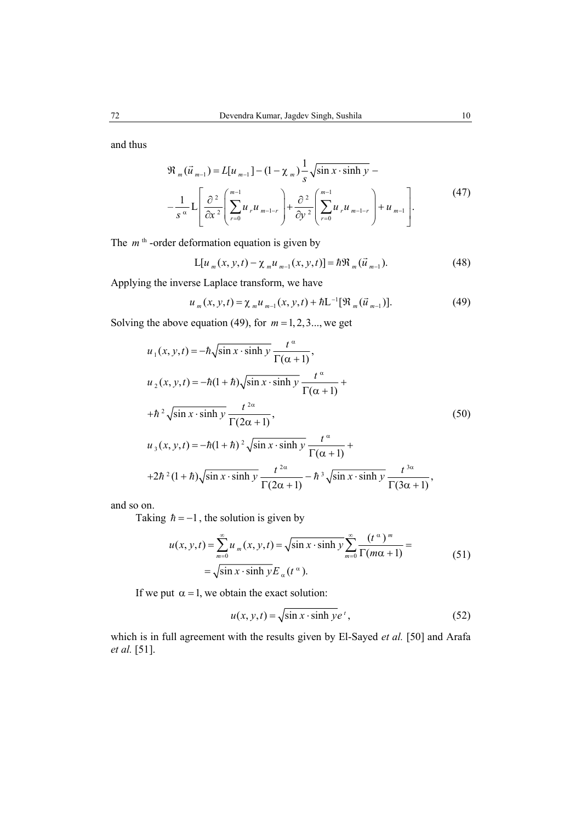and thus

$$
\mathfrak{R}_{m}(\vec{u}_{m-1}) = L[u_{m-1}] - (1 - \chi_{m}) \frac{1}{s} \sqrt{\sin x \cdot \sinh y} - \frac{1}{s} \frac{1}{s} \left[ \frac{\partial^{2}}{\partial x^{2}} \left( \sum_{r=0}^{m-1} u_{r} u_{m-1-r} \right) + \frac{\partial^{2}}{\partial y^{2}} \left( \sum_{r=0}^{m-1} u_{r} u_{m-1-r} \right) + u_{m-1} \right].
$$
\n(47)

The  $m<sup>th</sup>$ -order deformation equation is given by

$$
L[u_m(x, y, t) - \chi_m u_{m-1}(x, y, t)] = \hbar \mathfrak{R}_m(\vec{u}_{m-1}).
$$
\n(48)

Applying the inverse Laplace transform, we have

$$
u_m(x, y, t) = \chi_m u_{m-1}(x, y, t) + \hbar L^{-1} [\mathfrak{R}_m(\vec{u}_{m-1})]. \tag{49}
$$

Solving the above equation (49), for  $m = 1, 2, 3...$ , we get

$$
u_1(x, y, t) = -\hbar \sqrt{\sin x \cdot \sinh y} \frac{t^{\alpha}}{\Gamma(\alpha + 1)},
$$
  
\n
$$
u_2(x, y, t) = -\hbar (1 + \hbar) \sqrt{\sin x \cdot \sinh y} \frac{t^{\alpha}}{\Gamma(\alpha + 1)} +
$$
  
\n
$$
+ \hbar^2 \sqrt{\sin x \cdot \sinh y} \frac{t^{2\alpha}}{\Gamma(2\alpha + 1)},
$$
  
\n
$$
u_3(x, y, t) = -\hbar (1 + \hbar)^2 \sqrt{\sin x \cdot \sinh y} \frac{t^{\alpha}}{\Gamma(\alpha + 1)} +
$$
  
\n
$$
+ 2\hbar^2 (1 + \hbar) \sqrt{\sin x \cdot \sinh y} \frac{t^{2\alpha}}{\Gamma(2\alpha + 1)} - \hbar^3 \sqrt{\sin x \cdot \sinh y} \frac{t^{3\alpha}}{\Gamma(3\alpha + 1)},
$$
  
\n(50)

and so on.

Taking  $\hbar = -1$ , the solution is given by

$$
u(x, y, t) = \sum_{m=0}^{\infty} u_m(x, y, t) = \sqrt{\sin x \cdot \sinh y} \sum_{m=0}^{\infty} \frac{(t^{\alpha})^m}{\Gamma(m\alpha + 1)} =
$$
  
=  $\sqrt{\sin x \cdot \sinh y} E_{\alpha}(t^{\alpha}).$  (51)

If we put  $\alpha = 1$ , we obtain the exact solution:

$$
u(x, y, t) = \sqrt{\sin x \cdot \sinh y} e^{t},
$$
 (52)

which is in full agreement with the results given by El-Sayed *et al.* [50] and Arafa *et al.* [51].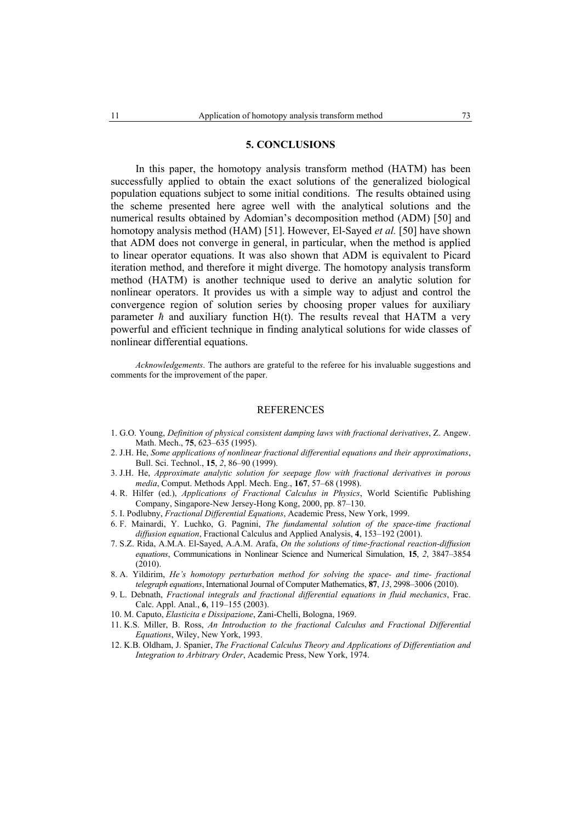### **5. CONCLUSIONS**

In this paper, the homotopy analysis transform method (HATM) has been successfully applied to obtain the exact solutions of the generalized biological population equations subject to some initial conditions. The results obtained using the scheme presented here agree well with the analytical solutions and the numerical results obtained by Adomian's decomposition method (ADM) [50] and homotopy analysis method (HAM) [51]. However, El-Sayed *et al.* [50] have shown that ADM does not converge in general, in particular, when the method is applied to linear operator equations. It was also shown that ADM is equivalent to Picard iteration method, and therefore it might diverge. The homotopy analysis transform method (HATM) is another technique used to derive an analytic solution for nonlinear operators. It provides us with a simple way to adjust and control the convergence region of solution series by choosing proper values for auxiliary parameter  $\hbar$  and auxiliary function  $H(t)$ . The results reveal that HATM a very powerful and efficient technique in finding analytical solutions for wide classes of nonlinear differential equations.

*Acknowledgements*. The authors are grateful to the referee for his invaluable suggestions and comments for the improvement of the paper.

#### REFERENCES

- 1. G.O. Young, *Definition of physical consistent damping laws with fractional derivatives*, Z. Angew. Math. Mech., **75**, 623–635 (1995).
- 2. J.H. He, *Some applications of nonlinear fractional differential equations and their approximations*, Bull. Sci. Technol., **15**, *2*, 86–90 (1999).
- 3. J.H. He, *Approximate analytic solution for seepage flow with fractional derivatives in porous media*, Comput. Methods Appl. Mech. Eng., **167**, 57–68 (1998).
- 4. R. Hilfer (ed.), *Applications of Fractional Calculus in Physics*, World Scientific Publishing Company, Singapore-New Jersey-Hong Kong, 2000, pp. 87–130.
- 5. I. Podlubny, *Fractional Differential Equations*, Academic Press, New York, 1999.
- 6. F. Mainardi, Y. Luchko, G. Pagnini, *The fundamental solution of the space-time fractional diffusion equation*, Fractional Calculus and Applied Analysis, **4**, 153–192 (2001).
- 7. S.Z. Rida, A.M.A. El-Sayed, A.A.M. Arafa, *On the solutions of time-fractional reaction-diffusion equations*, Communications in Nonlinear Science and Numerical Simulation, **15**, *2*, 3847–3854  $(2010)$
- 8. A. Yildirim, *He's homotopy perturbation method for solving the space- and time- fractional telegraph equations*, International Journal of Computer Mathematics, **87**, *13*, 2998–3006 (2010).
- 9. L. Debnath, *Fractional integrals and fractional differential equations in fluid mechanics*, Frac. Calc. Appl. Anal., **6**, 119–155 (2003).
- 10. M. Caputo, *Elasticita e Dissipazione*, Zani-Chelli, Bologna, 1969.
- 11. K.S. Miller, B. Ross, *An Introduction to the fractional Calculus and Fractional Differential Equations*, Wiley, New York, 1993.
- 12. K.B. Oldham, J. Spanier, *The Fractional Calculus Theory and Applications of Differentiation and Integration to Arbitrary Order*, Academic Press, New York, 1974.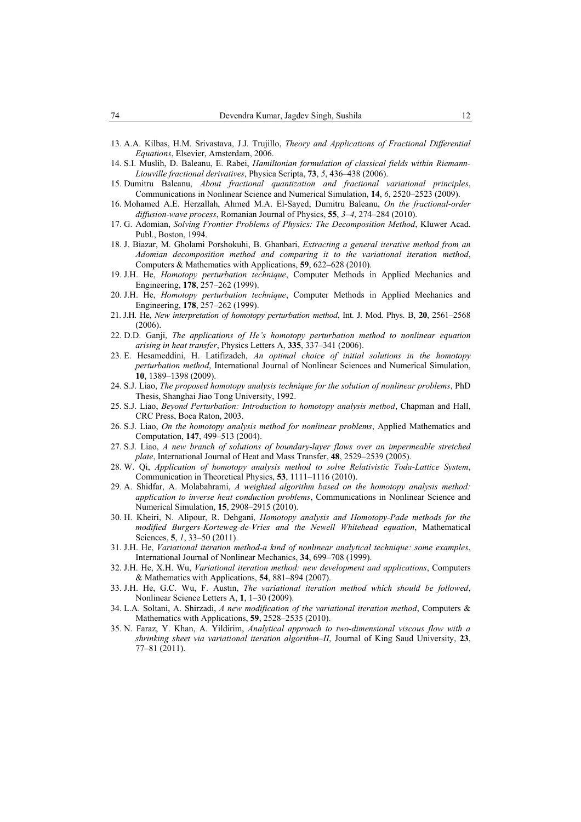- 13. A.A. Kilbas, H.M. Srivastava, J.J. Trujillo, *Theory and Applications of Fractional Differential Equations*, Elsevier, Amsterdam, 2006.
- 14. S.I. Muslih, D. Baleanu, E. Rabei, *Hamiltonian formulation of classical fields within Riemann-Liouville fractional derivatives*, Physica Scripta, **73**, *5*, 436–438 (2006).
- 15. Dumitru Baleanu, *About fractional quantization and fractional variational principles*, Communications in Nonlinear Science and Numerical Simulation, **14**, *6*, 2520–2523 (2009).
- 16. Mohamed A.E. Herzallah, Ahmed M.A. El-Sayed, Dumitru Baleanu, *On the fractional-order diffusion-wave process*, Romanian Journal of Physics, **55**, *3*–*4*, 274–284 (2010).
- 17. G. Adomian, *Solving Frontier Problems of Physics: The Decomposition Method*, Kluwer Acad. Publ., Boston, 1994.
- 18. J. Biazar, M. Gholami Porshokuhi, B. Ghanbari, *Extracting a general iterative method from an Adomian decomposition method and comparing it to the variational iteration method*, Computers & Mathematics with Applications, **59**, 622–628 (2010).
- 19. J.H. He, *Homotopy perturbation technique*, Computer Methods in Applied Mechanics and Engineering, **178**, 257–262 (1999).
- 20. J.H. He, *Homotopy perturbation technique*, Computer Methods in Applied Mechanics and Engineering, **178**, 257–262 (1999).
- 21. J.H. He, *New interpretation of homotopy perturbation method*, Int. J. Mod. Phys. B, **20**, 2561–2568 (2006).
- 22. D.D. Ganji, *The applications of He's homotopy perturbation method to nonlinear equation arising in heat transfer*, Physics Letters A, **335**, 337–341 (2006).
- 23. E. Hesameddini, H. Latifizadeh, *An optimal choice of initial solutions in the homotopy perturbation method*, International Journal of Nonlinear Sciences and Numerical Simulation, **10**, 1389–1398 (2009).
- 24. S.J. Liao, *The proposed homotopy analysis technique for the solution of nonlinear problems*, PhD Thesis, Shanghai Jiao Tong University, 1992.
- 25. S.J. Liao, *Beyond Perturbation: Introduction to homotopy analysis method*, Chapman and Hall, CRC Press, Boca Raton, 2003.
- 26. S.J. Liao, *On the homotopy analysis method for nonlinear problems*, Applied Mathematics and Computation, **147**, 499–513 (2004).
- 27. S.J. Liao, *A new branch of solutions of boundary-layer flows over an impermeable stretched plate*, International Journal of Heat and Mass Transfer, **48**, 2529–2539 (2005).
- 28. W. Qi, *Application of homotopy analysis method to solve Relativistic Toda-Lattice System*, Communication in Theoretical Physics, **53**, 1111–1116 (2010).
- 29. A. Shidfar, A. Molabahrami, *A weighted algorithm based on the homotopy analysis method: application to inverse heat conduction problems*, Communications in Nonlinear Science and Numerical Simulation, **15**, 2908–2915 (2010).
- 30. H. Kheiri, N. Alipour, R. Dehgani, *Homotopy analysis and Homotopy-Pade methods for the modified Burgers-Korteweg-de-Vries and the Newell Whitehead equation*, Mathematical Sciences, **5**, *1*, 33–50 (2011).
- 31. J.H. He, *Variational iteration method-a kind of nonlinear analytical technique: some examples*, International Journal of Nonlinear Mechanics, **34**, 699–708 (1999).
- 32. J.H. He, X.H. Wu, *Variational iteration method: new development and applications*, Computers & Mathematics with Applications, **54**, 881–894 (2007).
- 33. J.H. He, G.C. Wu, F. Austin, *The variational iteration method which should be followed*, Nonlinear Science Letters A, **1**, 1–30 (2009).
- 34. L.A. Soltani, A. Shirzadi, *A new modification of the variational iteration method*, Computers & Mathematics with Applications, **59**, 2528–2535 (2010).
- 35. N. Faraz, Y. Khan, A. Yildirim, *Analytical approach to two-dimensional viscous flow with a shrinking sheet via variational iteration algorithm–II*, Journal of King Saud University, **23**, 77–81 (2011).